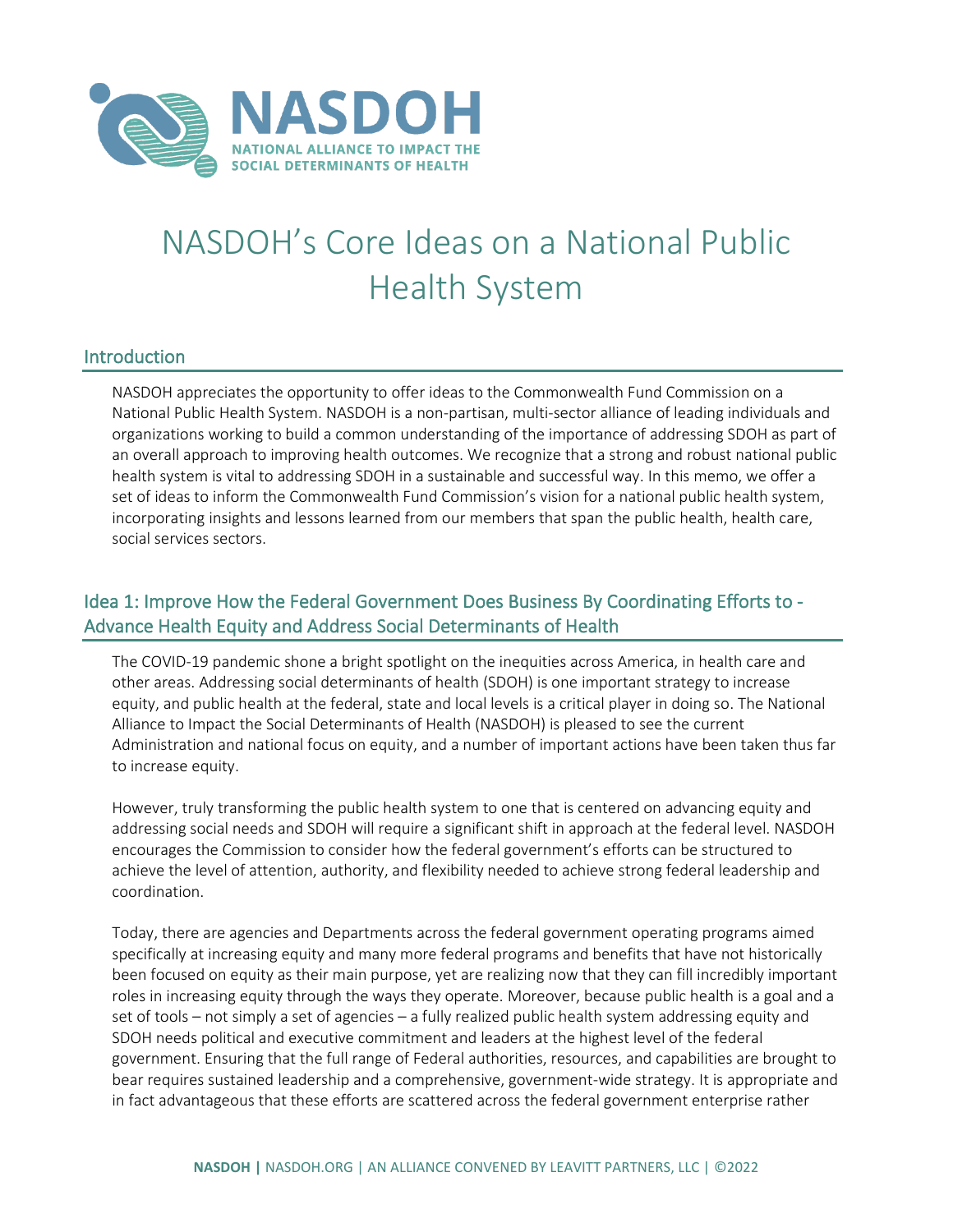

# NASDOH's Core Ideas on a National Public Health System

#### **Introduction**

NASDOH appreciates the opportunity to offer ideas to the Commonwealth Fund Commission on a National Public Health System. NASDOH is a non-partisan, multi-sector alliance of leading individuals and organizations working to build a common understanding of the importance of addressing SDOH as part of an overall approach to improving health outcomes. We recognize that a strong and robust national public health system is vital to addressing SDOH in a sustainable and successful way. In this memo, we offer a set of ideas to inform the Commonwealth Fund Commission's vision for a national public health system, incorporating insights and lessons learned from our members that span the public health, health care, social services sectors.

### Idea 1: Improve How the Federal Government Does Business By Coordinating Efforts to - Advance Health Equity and Address Social Determinants of Health

The COVID-19 pandemic shone a bright spotlight on the inequities across America, in health care and other areas. Addressing social determinants of health (SDOH) is one important strategy to increase equity, and public health at the federal, state and local levels is a critical player in doing so. The National Alliance to Impact the Social Determinants of Health (NASDOH) is pleased to see the current Administration and national focus on equity, and a number of important actions have been taken thus far to increase equity.

However, truly transforming the public health system to one that is centered on advancing equity and addressing social needs and SDOH will require a significant shift in approach at the federal level. NASDOH encourages the Commission to consider how the federal government's efforts can be structured to achieve the level of attention, authority, and flexibility needed to achieve strong federal leadership and coordination.

Today, there are agencies and Departments across the federal government operating programs aimed specifically at increasing equity and many more federal programs and benefits that have not historically been focused on equity as their main purpose, yet are realizing now that they can fill incredibly important roles in increasing equity through the ways they operate. Moreover, because public health is a goal and a set of tools – not simply a set of agencies – a fully realized public health system addressing equity and SDOH needs political and executive commitment and leaders at the highest level of the federal government. Ensuring that the full range of Federal authorities, resources, and capabilities are brought to bear requires sustained leadership and a comprehensive, government-wide strategy. It is appropriate and in fact advantageous that these efforts are scattered across the federal government enterprise rather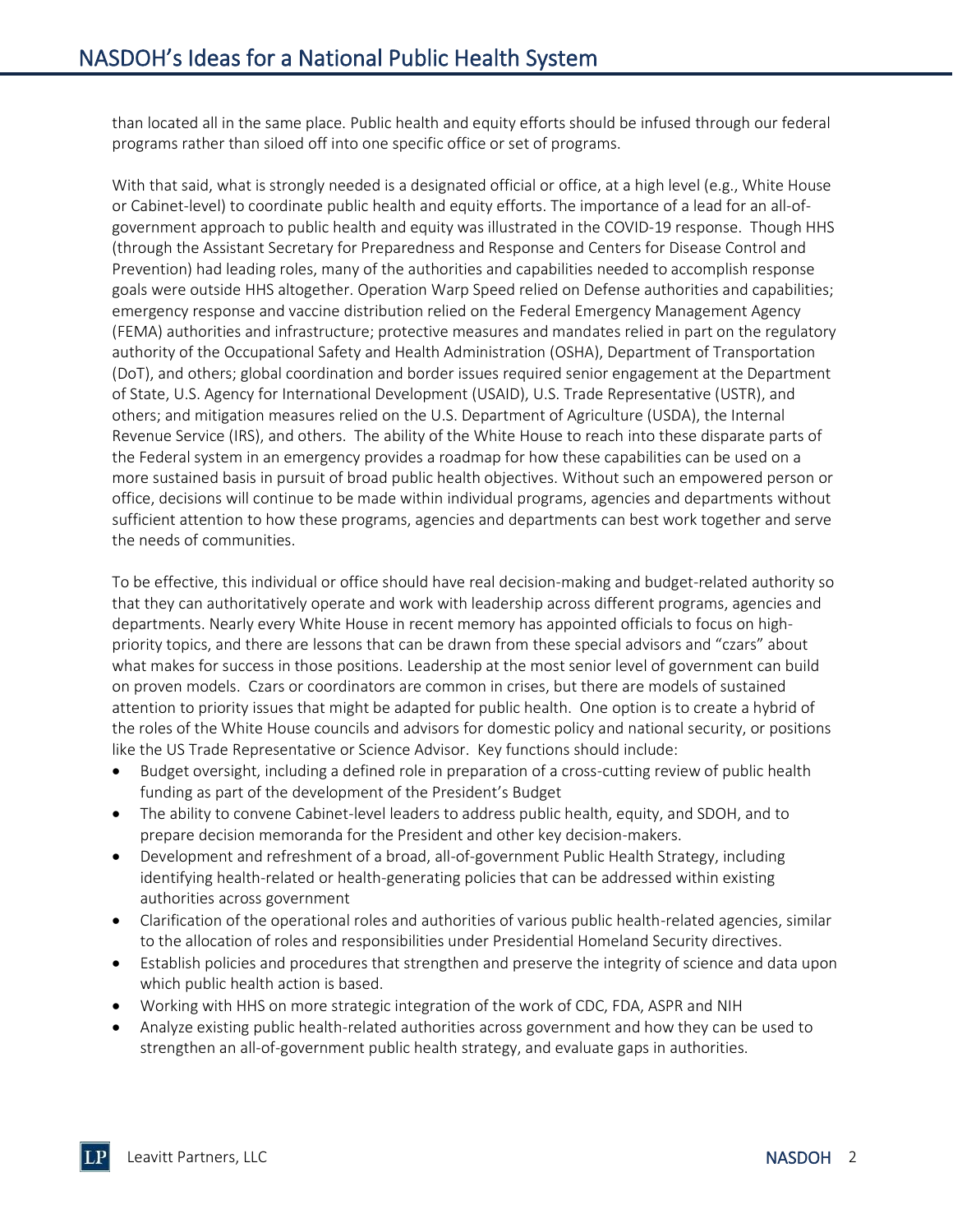than located all in the same place. Public health and equity efforts should be infused through our federal programs rather than siloed off into one specific office or set of programs.

With that said, what is strongly needed is a designated official or office, at a high level (e.g., White House or Cabinet-level) to coordinate public health and equity efforts. The importance of a lead for an all-ofgovernment approach to public health and equity was illustrated in the COVID-19 response. Though HHS (through the Assistant Secretary for Preparedness and Response and Centers for Disease Control and Prevention) had leading roles, many of the authorities and capabilities needed to accomplish response goals were outside HHS altogether. Operation Warp Speed relied on Defense authorities and capabilities; emergency response and vaccine distribution relied on the Federal Emergency Management Agency (FEMA) authorities and infrastructure; protective measures and mandates relied in part on the regulatory authority of the Occupational Safety and Health Administration (OSHA), Department of Transportation (DoT), and others; global coordination and border issues required senior engagement at the Department of State, U.S. Agency for International Development (USAID), U.S. Trade Representative (USTR), and others; and mitigation measures relied on the U.S. Department of Agriculture (USDA), the Internal Revenue Service (IRS), and others. The ability of the White House to reach into these disparate parts of the Federal system in an emergency provides a roadmap for how these capabilities can be used on a more sustained basis in pursuit of broad public health objectives. Without such an empowered person or office, decisions will continue to be made within individual programs, agencies and departments without sufficient attention to how these programs, agencies and departments can best work together and serve the needs of communities.

To be effective, this individual or office should have real decision-making and budget-related authority so that they can authoritatively operate and work with leadership across different programs, agencies and departments. Nearly every White House in recent memory has appointed officials to focus on highpriority topics, and there are lessons that can be drawn from these special advisors and "czars" about what makes for success in those positions. Leadership at the most senior level of government can build on proven models. Czars or coordinators are common in crises, but there are models of sustained attention to priority issues that might be adapted for public health. One option is to create a hybrid of the roles of the White House councils and advisors for domestic policy and national security, or positions like the US Trade Representative or Science Advisor. Key functions should include:

- Budget oversight, including a defined role in preparation of a cross-cutting review of public health funding as part of the development of the President's Budget
- The ability to convene Cabinet-level leaders to address public health, equity, and SDOH, and to prepare decision memoranda for the President and other key decision-makers.
- Development and refreshment of a broad, all-of-government Public Health Strategy, including identifying health-related or health-generating policies that can be addressed within existing authorities across government
- Clarification of the operational roles and authorities of various public health-related agencies, similar to the allocation of roles and responsibilities under Presidential Homeland Security directives.
- Establish policies and procedures that strengthen and preserve the integrity of science and data upon which public health action is based.
- Working with HHS on more strategic integration of the work of CDC, FDA, ASPR and NIH
- Analyze existing public health-related authorities across government and how they can be used to strengthen an all-of-government public health strategy, and evaluate gaps in authorities.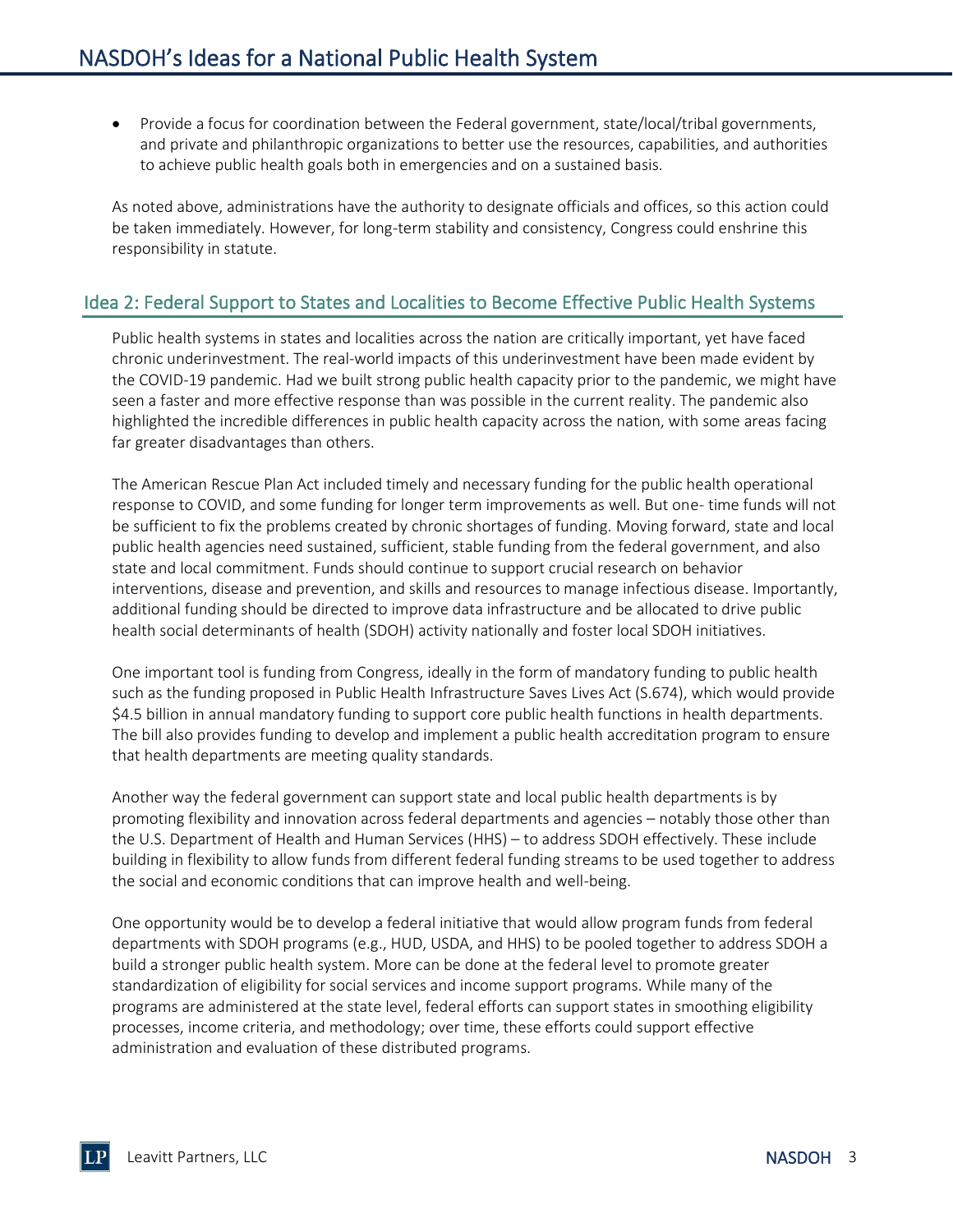• Provide a focus for coordination between the Federal government, state/local/tribal governments, and private and philanthropic organizations to better use the resources, capabilities, and authorities to achieve public health goals both in emergencies and on a sustained basis.

As noted above, administrations have the authority to designate officials and offices, so this action could be taken immediately. However, for long-term stability and consistency, Congress could enshrine this responsibility in statute.

#### Idea 2: Federal Support to States and Localities to Become Effective Public Health Systems

Public health systems in states and localities across the nation are critically important, yet have faced chronic underinvestment. The real-world impacts of this underinvestment have been made evident by the COVID-19 pandemic. Had we built strong public health capacity prior to the pandemic, we might have seen a faster and more effective response than was possible in the current reality. The pandemic also highlighted the incredible differences in public health capacity across the nation, with some areas facing far greater disadvantages than others.

The American Rescue Plan Act included timely and necessary funding for the public health operational response to COVID, and some funding for longer term improvements as well. But one- time funds will not be sufficient to fix the problems created by chronic shortages of funding. Moving forward, state and local public health agencies need sustained, sufficient, stable funding from the federal government, and also state and local commitment. Funds should continue to support crucial research on behavior interventions, disease and prevention, and skills and resources to manage infectious disease. Importantly, additional funding should be directed to improve data infrastructure and be allocated to drive public health social determinants of health (SDOH) activity nationally and foster local SDOH initiatives.

One important tool is funding from Congress, ideally in the form of mandatory funding to public health such as the funding proposed in Public Health Infrastructure Saves Lives Act (S.674), which would provide \$4.5 billion in annual mandatory funding to support core public health functions in health departments. The bill also provides funding to develop and implement a public health accreditation program to ensure that health departments are meeting quality standards.

Another way the federal government can support state and local public health departments is by promoting flexibility and innovation across federal departments and agencies – notably those other than the U.S. Department of Health and Human Services (HHS) – to address SDOH effectively. These include building in flexibility to allow funds from different federal funding streams to be used together to address the social and economic conditions that can improve health and well-being.

One opportunity would be to develop a federal initiative that would allow program funds from federal departments with SDOH programs (e.g., HUD, USDA, and HHS) to be pooled together to address SDOH a build a stronger public health system. More can be done at the federal level to promote greater standardization of eligibility for social services and income support programs. While many of the programs are administered at the state level, federal efforts can support states in smoothing eligibility processes, income criteria, and methodology; over time, these efforts could support effective administration and evaluation of these distributed programs.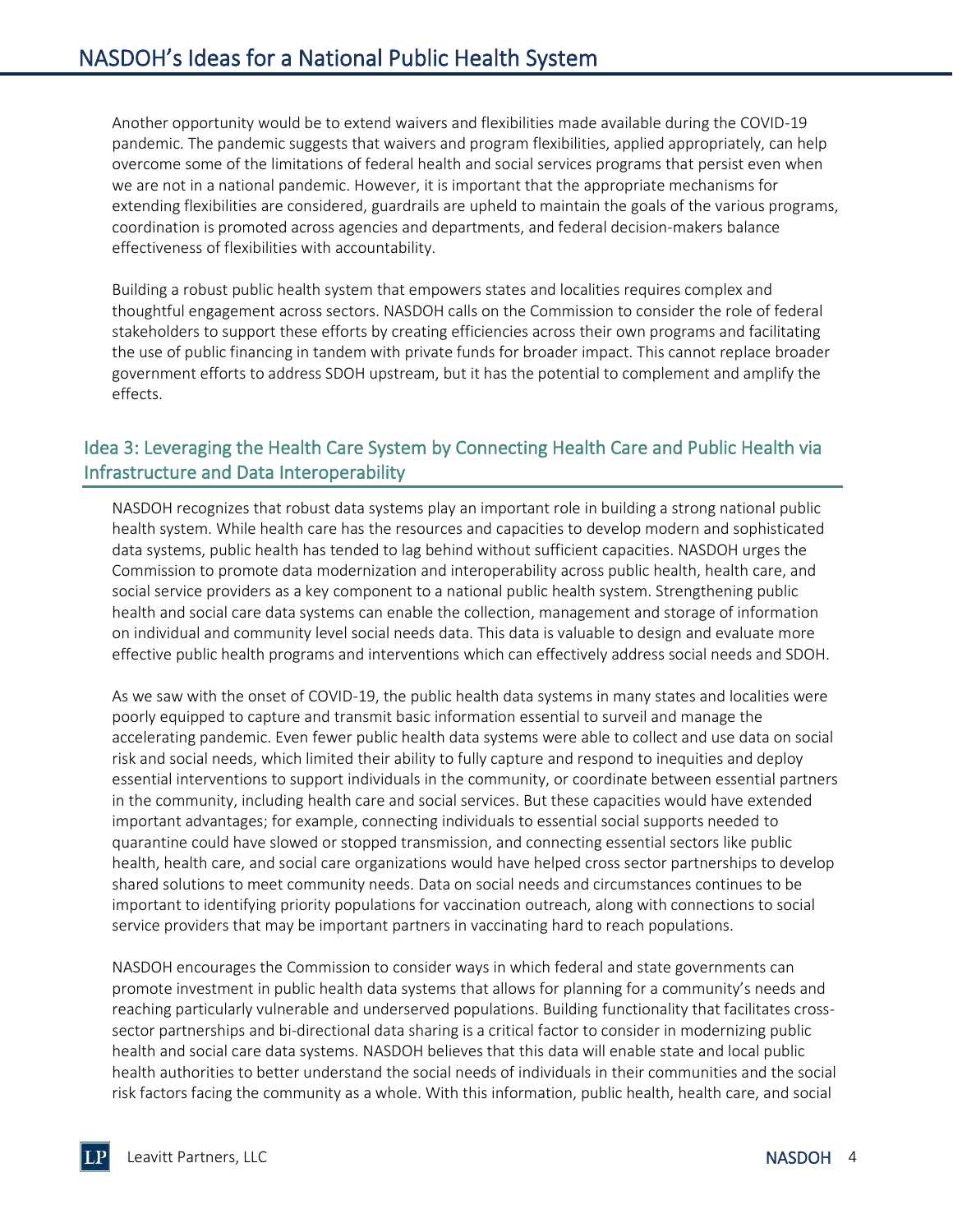Another opportunity would be to extend waivers and flexibilities made available during the COVID-19 pandemic. The pandemic suggests that waivers and program flexibilities, applied appropriately, can help overcome some of the limitations of federal health and social services programs that persist even when we are not in a national pandemic. However, it is important that the appropriate mechanisms for extending flexibilities are considered, guardrails are upheld to maintain the goals of the various programs, coordination is promoted across agencies and departments, and federal decision-makers balance effectiveness of flexibilities with accountability.

Building a robust public health system that empowers states and localities requires complex and thoughtful engagement across sectors. NASDOH calls on the Commission to consider the role of federal stakeholders to support these efforts by creating efficiencies across their own programs and facilitating the use of public financing in tandem with private funds for broader impact. This cannot replace broader government efforts to address SDOH upstream, but it has the potential to complement and amplify the effects.

## Idea 3: Leveraging the Health Care System by Connecting Health Care and Public Health via Infrastructure and Data Interoperability

NASDOH recognizes that robust data systems play an important role in building a strong national public health system. While health care has the resources and capacities to develop modern and sophisticated data systems, public health has tended to lag behind without sufficient capacities. NASDOH urges the Commission to promote data modernization and interoperability across public health, health care, and social service providers as a key component to a national public health system. Strengthening public health and social care data systems can enable the collection, management and storage of information on individual and community level social needs data. This data is valuable to design and evaluate more effective public health programs and interventions which can effectively address social needs and SDOH.

As we saw with the onset of COVID-19, the public health data systems in many states and localities were poorly equipped to capture and transmit basic information essential to surveil and manage the accelerating pandemic. Even fewer public health data systems were able to collect and use data on social risk and social needs, which limited their ability to fully capture and respond to inequities and deploy essential interventions to support individuals in the community, or coordinate between essential partners in the community, including health care and social services. But these capacities would have extended important advantages; for example, connecting individuals to essential social supports needed to quarantine could have slowed or stopped transmission, and connecting essential sectors like public health, health care, and social care organizations would have helped cross sector partnerships to develop shared solutions to meet community needs. Data on social needs and circumstances continues to be important to identifying priority populations for vaccination outreach, along with connections to social service providers that may be important partners in vaccinating hard to reach populations.

NASDOH encourages the Commission to consider ways in which federal and state governments can promote investment in public health data systems that allows for planning for a community's needs and reaching particularly vulnerable and underserved populations. Building functionality that facilitates crosssector partnerships and bi-directional data sharing is a critical factor to consider in modernizing public health and social care data systems. NASDOH believes that this data will enable state and local public health authorities to better understand the social needs of individuals in their communities and the social risk factors facing the community as a whole. With this information, public health, health care, and social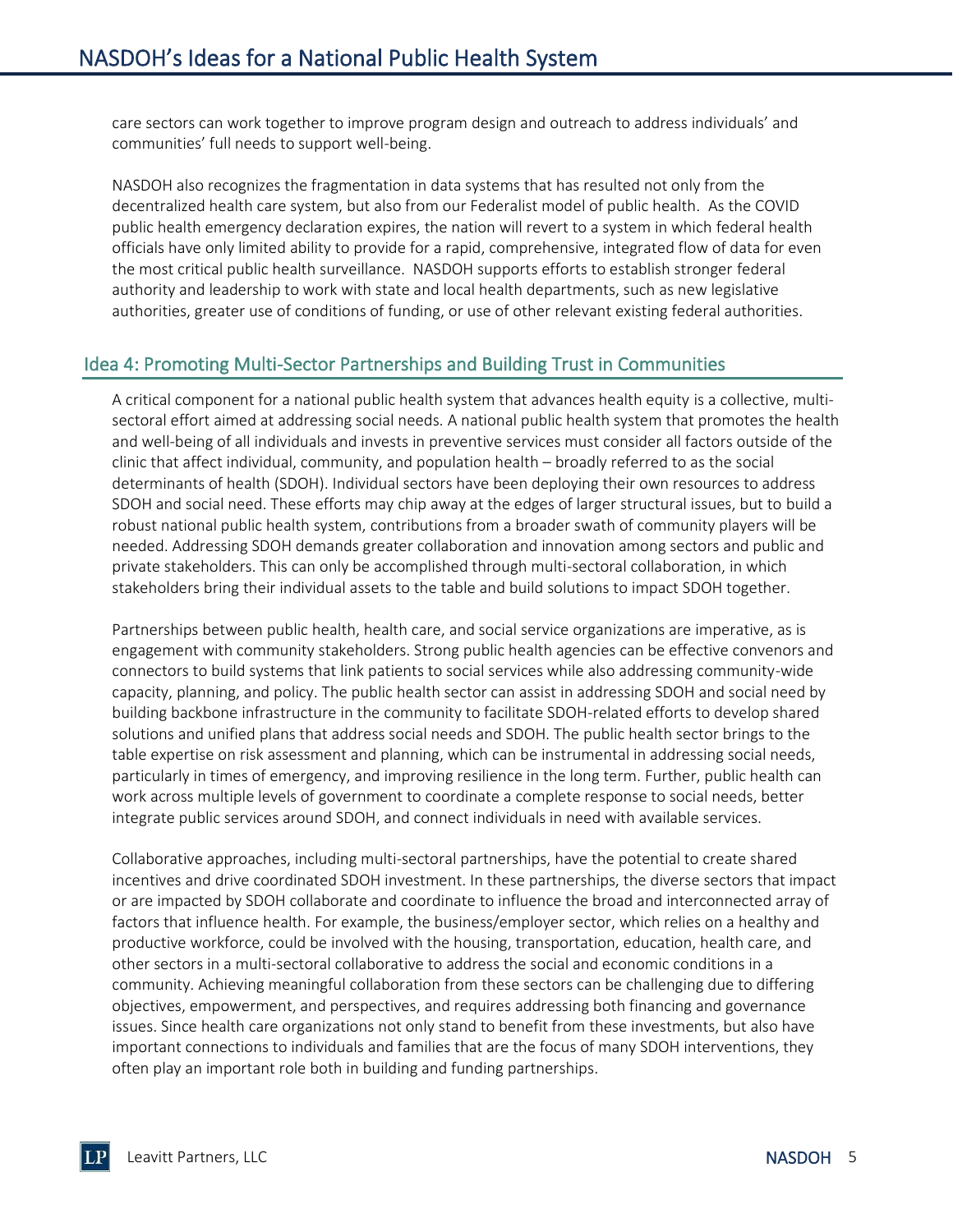care sectors can work together to improve program design and outreach to address individuals' and communities' full needs to support well-being.

NASDOH also recognizes the fragmentation in data systems that has resulted not only from the decentralized health care system, but also from our Federalist model of public health. As the COVID public health emergency declaration expires, the nation will revert to a system in which federal health officials have only limited ability to provide for a rapid, comprehensive, integrated flow of data for even the most critical public health surveillance. NASDOH supports efforts to establish stronger federal authority and leadership to work with state and local health departments, such as new legislative authorities, greater use of conditions of funding, or use of other relevant existing federal authorities.

### Idea 4: Promoting Multi-Sector Partnerships and Building Trust in Communities

A critical component for a national public health system that advances health equity is a collective, multisectoral effort aimed at addressing social needs. A national public health system that promotes the health and well-being of all individuals and invests in preventive services must consider all factors outside of the clinic that affect individual, community, and population health – broadly referred to as the social determinants of health (SDOH). Individual sectors have been deploying their own resources to address SDOH and social need. These efforts may chip away at the edges of larger structural issues, but to build a robust national public health system, contributions from a broader swath of community players will be needed. Addressing SDOH demands greater collaboration and innovation among sectors and public and private stakeholders. This can only be accomplished through multi-sectoral collaboration, in which stakeholders bring their individual assets to the table and build solutions to impact SDOH together.

Partnerships between public health, health care, and social service organizations are imperative, as is engagement with community stakeholders. Strong public health agencies can be effective convenors and connectors to build systems that link patients to social services while also addressing community-wide capacity, planning, and policy. The public health sector can assist in addressing SDOH and social need by building backbone infrastructure in the community to facilitate SDOH-related efforts to develop shared solutions and unified plans that address social needs and SDOH. The public health sector brings to the table expertise on risk assessment and planning, which can be instrumental in addressing social needs, particularly in times of emergency, and improving resilience in the long term. Further, public health can work across multiple levels of government to coordinate a complete response to social needs, better integrate public services around SDOH, and connect individuals in need with available services.

Collaborative approaches, including multi-sectoral partnerships, have the potential to create shared incentives and drive coordinated SDOH investment. In these partnerships, the diverse sectors that impact or are impacted by SDOH collaborate and coordinate to influence the broad and interconnected array of factors that influence health. For example, the business/employer sector, which relies on a healthy and productive workforce, could be involved with the housing, transportation, education, health care, and other sectors in a multi-sectoral collaborative to address the social and economic conditions in a community. Achieving meaningful collaboration from these sectors can be challenging due to differing objectives, empowerment, and perspectives, and requires addressing both financing and governance issues. Since health care organizations not only stand to benefit from these investments, but also have important connections to individuals and families that are the focus of many SDOH interventions, they often play an important role both in building and funding partnerships.